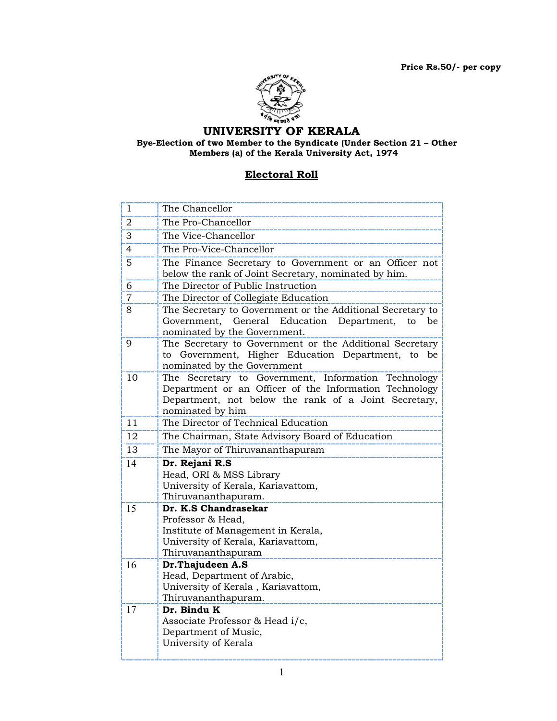

## UNIVERSITY OF KERALA

Bye-Election of two Member to the Syndicate (Under Section 21 – Other Members (a) of the Kerala University Act, 1974

## Electoral Roll

| 1               | The Chancellor                                                                                                                                                                            |
|-----------------|-------------------------------------------------------------------------------------------------------------------------------------------------------------------------------------------|
| 2               | The Pro-Chancellor                                                                                                                                                                        |
| 3               | The Vice-Chancellor                                                                                                                                                                       |
| 4               | The Pro-Vice-Chancellor                                                                                                                                                                   |
| 5               | The Finance Secretary to Government or an Officer not<br>below the rank of Joint Secretary, nominated by him.                                                                             |
| 6               | The Director of Public Instruction                                                                                                                                                        |
| $\overline{7}$  | The Director of Collegiate Education                                                                                                                                                      |
| 8               | The Secretary to Government or the Additional Secretary to<br>Education<br>Government, General<br>Department,<br>to<br>be<br>nominated by the Government.                                 |
| 9               | The Secretary to Government or the Additional Secretary<br>to Government, Higher Education Department, to<br>be<br>nominated by the Government                                            |
| 10              | The Secretary to Government, Information Technology<br>Department or an Officer of the Information Technology<br>Department, not below the rank of a Joint Secretary,<br>nominated by him |
| 11              | The Director of Technical Education                                                                                                                                                       |
| 12              | The Chairman, State Advisory Board of Education                                                                                                                                           |
| 13              | The Mayor of Thiruvananthapuram                                                                                                                                                           |
| 14              | Dr. Rejani R.S<br>Head, ORI & MSS Library<br>University of Kerala, Kariavattom,<br>Thiruvananthapuram.                                                                                    |
| $\overline{15}$ | Dr. K.S Chandrasekar                                                                                                                                                                      |
|                 | Professor & Head,<br>Institute of Management in Kerala,<br>University of Kerala, Kariavattom,<br>Thiruvananthapuram                                                                       |
| 16              | Dr. Thajudeen A.S                                                                                                                                                                         |
|                 | Head, Department of Arabic,<br>University of Kerala, Kariavattom,<br>Thiruvananthapuram.                                                                                                  |
| 17              | Dr. Bindu K<br>Associate Professor & Head i/c,<br>Department of Music,<br>University of Kerala                                                                                            |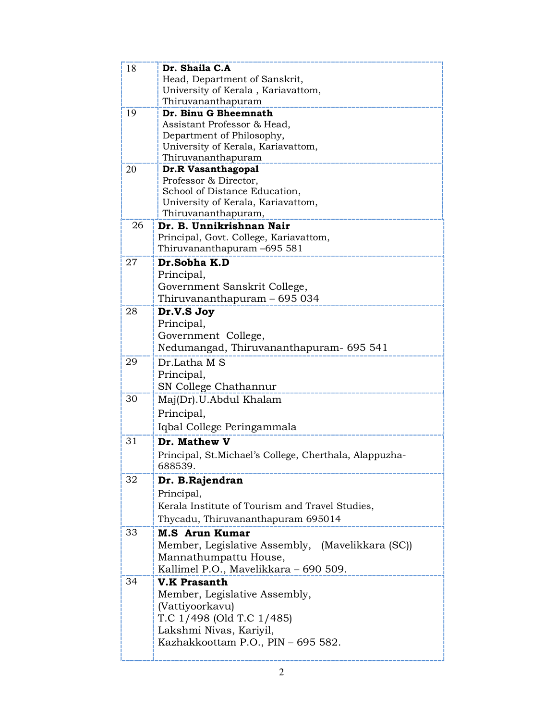| 18 | Dr. Shaila C.A                                                      |
|----|---------------------------------------------------------------------|
|    | Head, Department of Sanskrit,                                       |
|    | University of Kerala, Kariavattom,                                  |
|    | Thiruvananthapuram                                                  |
| 19 | Dr. Binu G Bheemnath                                                |
|    | Assistant Professor & Head,                                         |
|    | Department of Philosophy,                                           |
|    | University of Kerala, Kariavattom,                                  |
|    | Thiruvananthapuram                                                  |
| 20 | Dr.R Vasanthagopal                                                  |
|    | Professor & Director,                                               |
|    | School of Distance Education,<br>University of Kerala, Kariavattom, |
|    | Thiruvananthapuram,                                                 |
| 26 | Dr. B. Unnikrishnan Nair                                            |
|    | Principal, Govt. College, Kariavattom,                              |
|    | Thiruvananthapuram -695 581                                         |
| 27 | Dr.Sobha K.D                                                        |
|    |                                                                     |
|    | Principal,                                                          |
|    | Government Sanskrit College,                                        |
| 28 | Thiruvananthapuram - 695 034                                        |
|    | Dr.V.S Joy                                                          |
|    | Principal,                                                          |
|    | Government College,                                                 |
|    | Nedumangad, Thiruvananthapuram- 695 541                             |
| 29 | Dr.Latha M S                                                        |
|    | Principal,                                                          |
|    | SN College Chathannur                                               |
| 30 | Maj(Dr).U.Abdul Khalam                                              |
|    | Principal,                                                          |
|    | Iqbal College Peringammala                                          |
| 31 | Dr. Mathew V                                                        |
|    | Principal, St.Michael's College, Cherthala, Alappuzha-              |
|    | 688539                                                              |
| 32 | Dr. B.Rajendran                                                     |
|    | Principal,                                                          |
|    | Kerala Institute of Tourism and Travel Studies,                     |
|    | Thycadu, Thiruvananthapuram 695014                                  |
| 33 | <b>M.S</b> Arun Kumar                                               |
|    | Member, Legislative Assembly, (Mavelikkara (SC))                    |
|    |                                                                     |
|    | Mannathumpattu House,                                               |
|    | Kallimel P.O., Mavelikkara - 690 509.                               |
| 34 | <b>V.K Prasanth</b>                                                 |
|    | Member, Legislative Assembly,                                       |
|    | (Vattiyoorkavu)                                                     |
|    | T.C 1/498 (Old T.C 1/485)                                           |
|    | Lakshmi Nivas, Kariyil,                                             |
|    | Kazhakkoottam P.O., PIN - 695 582.                                  |
|    |                                                                     |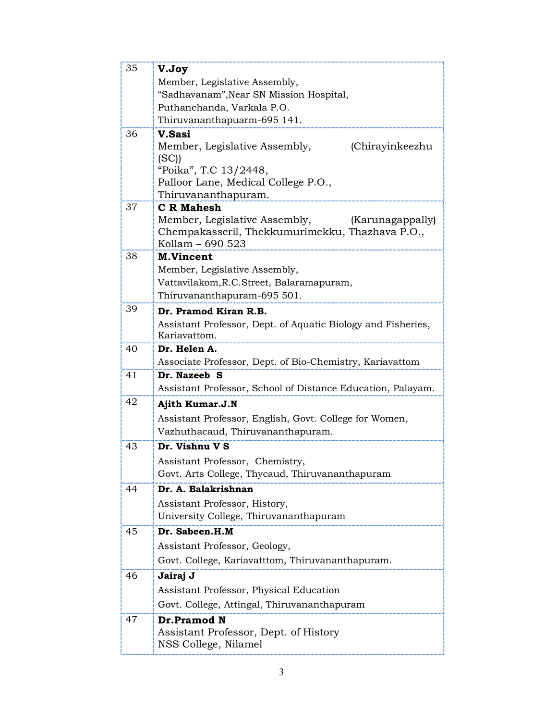| 35 | V.Joy                                                               |
|----|---------------------------------------------------------------------|
|    | Member, Legislative Assembly,                                       |
|    | "Sadhavanam", Near SN Mission Hospital,                             |
|    | Puthanchanda, Varkala P.O.                                          |
|    | Thiruvananthapuarm-695 141.                                         |
| 36 | V.Sasi<br>Member, Legislative Assembly,<br>(Chirayinkeezhu          |
|    | (SC)                                                                |
|    | "Poika", T.C 13/2448,                                               |
|    | Palloor Lane, Medical College P.O.,                                 |
|    | Thiruvananthapuram.                                                 |
| 37 | <b>C</b> R Mahesh                                                   |
|    | Member, Legislative Assembly,<br>(Karunagappally)                   |
|    | Chempakasseril, Thekkumurimekku, Thazhava P.O.,<br>Kollam - 690 523 |
| 38 | <b>M.Vincent</b>                                                    |
|    | Member, Legislative Assembly,                                       |
|    | Vattavilakom, R.C. Street, Balaramapuram,                           |
|    | Thiruvananthapuram-695 501.                                         |
| 39 | Dr. Pramod Kiran R.B.                                               |
|    | Assistant Professor, Dept. of Aquatic Biology and Fisheries,        |
|    | Kariavattom.                                                        |
| 40 | Dr. Helen A.                                                        |
|    | Associate Professor, Dept. of Bio-Chemistry, Kariavattom            |
| 41 | Dr. Nazeeb S                                                        |
|    | Assistant Professor, School of Distance Education, Palayam.         |
| 42 | Ajith Kumar.J.N                                                     |
|    | Assistant Professor, English, Govt. College for Women,              |
|    | Vazhuthacaud, Thiruvananthapuram.                                   |
| 43 | Dr. Vishnu V S                                                      |
|    | Assistant Professor, Chemistry,                                     |
|    | Govt. Arts College, Thycaud, Thiruvananthapuram                     |
| 44 | Dr. A. Balakrishnan                                                 |
|    | Assistant Professor, History,                                       |
|    | University College, Thiruvananthapuram                              |
| 45 | Dr. Sabeen.H.M                                                      |
|    | Assistant Professor, Geology,                                       |
|    | Govt. College, Kariavatttom, Thiruvananthapuram.                    |
| 46 | Jairaj J                                                            |
|    | Assistant Professor, Physical Education                             |
|    | Govt. College, Attingal, Thiruvananthapuram                         |
| 47 | Dr.Pramod N                                                         |
|    | Assistant Professor, Dept. of History                               |
|    | NSS College, Nilamel                                                |
|    |                                                                     |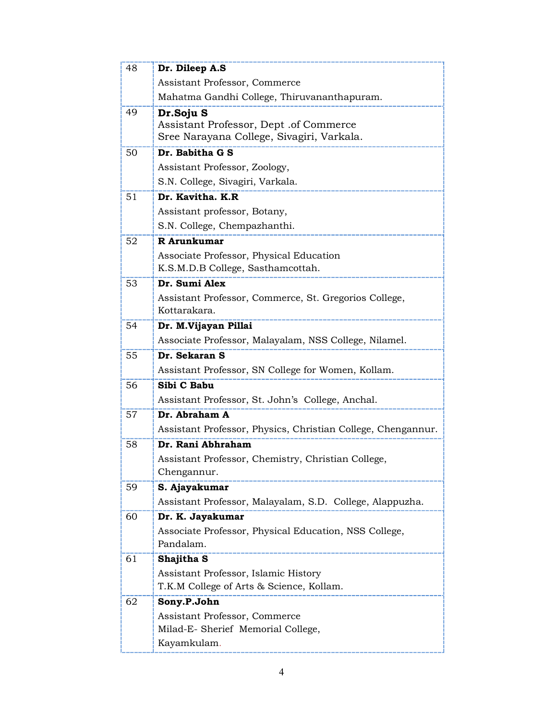| 48 | Dr. Dileep A.S                                                      |
|----|---------------------------------------------------------------------|
|    | Assistant Professor, Commerce                                       |
|    | Mahatma Gandhi College, Thiruvananthapuram.                         |
| 49 | Dr.Soju S                                                           |
|    | Assistant Professor, Dept.of Commerce                               |
|    | Sree Narayana College, Sivagiri, Varkala.                           |
| 50 | Dr. Babitha G S                                                     |
|    | Assistant Professor, Zoology,                                       |
|    | S.N. College, Sivagiri, Varkala.                                    |
| 51 | Dr. Kavitha, K.R.                                                   |
|    | Assistant professor, Botany,                                        |
|    | S.N. College, Chempazhanthi.                                        |
| 52 | R Arunkumar                                                         |
|    | Associate Professor, Physical Education                             |
|    | K.S.M.D.B College, Sasthamcottah.                                   |
| 53 | Dr. Sumi Alex                                                       |
|    | Assistant Professor, Commerce, St. Gregorios College,               |
|    | Kottarakara.                                                        |
| 54 | Dr. M.Vijayan Pillai                                                |
|    | Associate Professor, Malayalam, NSS College, Nilamel.               |
| 55 | Dr. Sekaran S                                                       |
|    | Assistant Professor, SN College for Women, Kollam.                  |
| 56 | Sibi C Babu                                                         |
|    | Assistant Professor, St. John's College, Anchal.                    |
| 57 | Dr. Abraham A                                                       |
|    | Assistant Professor, Physics, Christian College, Chengannur.        |
| 58 | Dr. Rani Abhraham                                                   |
|    | Assistant Professor, Chemistry, Christian College,                  |
|    | Chengannur.                                                         |
| 59 | S. Ajayakumar                                                       |
|    | Assistant Professor, Malayalam, S.D. College, Alappuzha.            |
| 60 | Dr. K. Jayakumar                                                    |
|    | Associate Professor, Physical Education, NSS College,               |
|    | Pandalam.                                                           |
| 61 | Shajitha S                                                          |
|    | Assistant Professor, Islamic History                                |
|    | T.K.M College of Arts & Science, Kollam.                            |
| 62 | Sony.P.John                                                         |
|    | Assistant Professor, Commerce<br>Milad-E- Sherief Memorial College, |
|    | Kayamkulam.                                                         |
|    |                                                                     |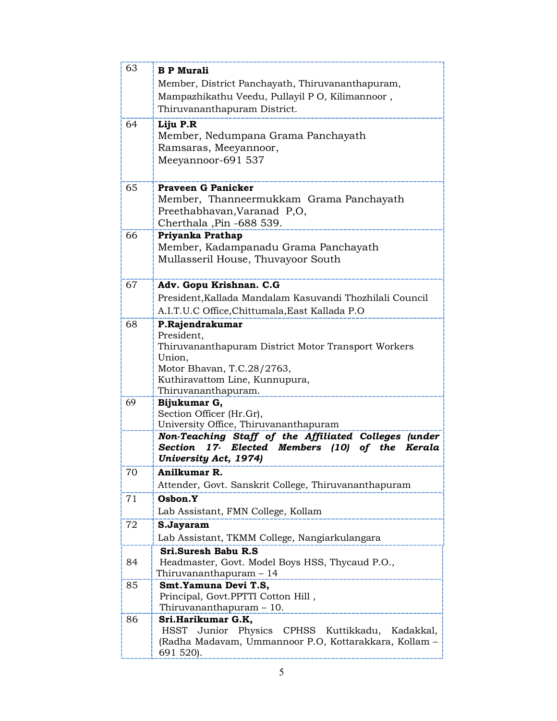| 63 | <b>B P Murali</b>                                                                                              |
|----|----------------------------------------------------------------------------------------------------------------|
|    | Member, District Panchayath, Thiruvananthapuram,                                                               |
|    | Mampazhikathu Veedu, Pullayil PO, Kilimannoor,                                                                 |
|    | Thiruvananthapuram District.                                                                                   |
| 64 | Liju P.R                                                                                                       |
|    | Member, Nedumpana Grama Panchayath                                                                             |
|    | Ramsaras, Meeyannoor,                                                                                          |
|    | Meeyannoor-691 537                                                                                             |
|    |                                                                                                                |
|    | <b>Praveen G Panicker</b>                                                                                      |
| 65 |                                                                                                                |
|    | Member, Thanneermukkam Grama Panchayath                                                                        |
|    | Preethabhavan, Varanad P,O,                                                                                    |
|    | Cherthala, Pin -688 539.                                                                                       |
| 66 | Priyanka Prathap                                                                                               |
|    | Member, Kadampanadu Grama Panchayath                                                                           |
|    | Mullasseril House, Thuvayoor South                                                                             |
| 67 | Adv. Gopu Krishnan. C.G                                                                                        |
|    | President, Kallada Mandalam Kasuvandi Thozhilali Council                                                       |
|    |                                                                                                                |
|    | A.I.T.U.C Office, Chittumala, East Kallada P.O                                                                 |
| 68 | P.Rajendrakumar                                                                                                |
|    | President,                                                                                                     |
|    | Thiruvananthapuram District Motor Transport Workers<br>Union,                                                  |
|    | Motor Bhavan, T.C.28/2763,                                                                                     |
|    | Kuthiravattom Line, Kunnupura,                                                                                 |
|    | Thiruvananthapuram.                                                                                            |
| 69 | Bijukumar G,                                                                                                   |
|    | Section Officer (Hr.Gr),                                                                                       |
|    | University Office, Thiruvananthapuram                                                                          |
|    | Non-Teaching Staff of the Affiliated Colleges (under                                                           |
|    | Section 17-<br>Elected Members (10)<br>of the<br>Kerala                                                        |
|    | <b>University Act, 1974)</b>                                                                                   |
| 70 | Anilkumar R.                                                                                                   |
|    | Attender, Govt. Sanskrit College, Thiruvananthapuram                                                           |
| 71 | Osbon.Y                                                                                                        |
|    | Lab Assistant, FMN College, Kollam                                                                             |
| 72 | S.Jayaram                                                                                                      |
|    | Lab Assistant, TKMM College, Nangiarkulangara                                                                  |
|    | <b>Sri.Suresh Babu R.S</b>                                                                                     |
| 84 | Headmaster, Govt. Model Boys HSS, Thycaud P.O.,                                                                |
|    | Thiruvananthapuram - 14                                                                                        |
| 85 | Smt.Yamuna Devi T.S,                                                                                           |
|    | Principal, Govt.PPTTI Cotton Hill,                                                                             |
|    | Thiruvananthapuram - 10.                                                                                       |
| 86 | Sri.Harikumar G.K,                                                                                             |
|    | Junior Physics CPHSS Kuttikkadu,<br>HSST<br>Kadakkal,<br>(Radha Madavam, Ummannoor P.O, Kottarakkara, Kollam - |
|    | 691 520).                                                                                                      |
|    |                                                                                                                |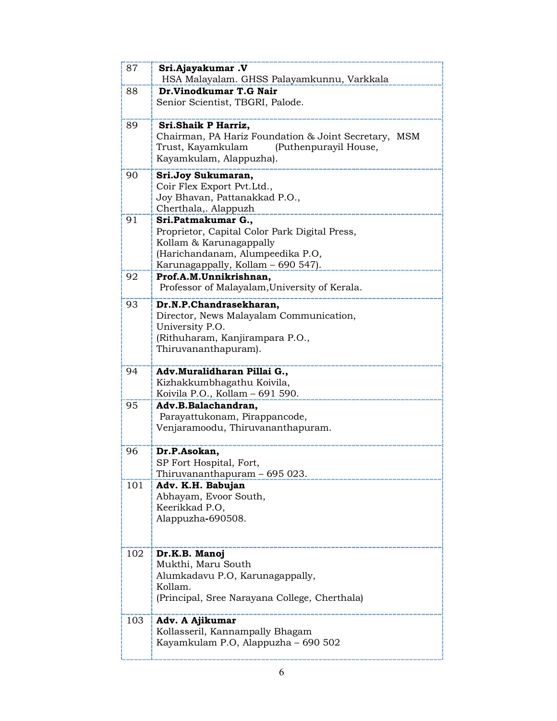| 87  |                                                                        |
|-----|------------------------------------------------------------------------|
|     | Sri.Ajayakumar.V<br>HSA Malayalam. GHSS Palayamkunnu, Varkkala         |
| 88  | Dr.Vinodkumar T.G Nair                                                 |
|     | Senior Scientist, TBGRI, Palode.                                       |
| 89  | Sri.Shaik P Harriz,                                                    |
|     | Chairman, PA Hariz Foundation & Joint Secretary,<br>MSM                |
|     | Trust, Kayamkulam<br>(Puthenpurayil House,<br>Kayamkulam, Alappuzha).  |
|     |                                                                        |
| 90  | Sri.Joy Sukumaran,<br>Coir Flex Export Pvt.Ltd.,                       |
|     | Joy Bhavan, Pattanakkad P.O.,                                          |
|     | Cherthala,. Alappuzh                                                   |
| 91  | Sri.Patmakumar G.,                                                     |
|     | Proprietor, Capital Color Park Digital Press,                          |
|     | Kollam & Karunagappally<br>(Harichandanam, Alumpeedika P.O,            |
|     | Karunagappally, Kollam - 690 547).                                     |
| 92  | Prof.A.M.Unnikrishnan,                                                 |
|     | Professor of Malayalam, University of Kerala.                          |
| 93  | Dr.N.P.Chandrasekharan,                                                |
|     | Director, News Malayalam Communication,                                |
|     | University P.O.                                                        |
|     | (Rithuharam, Kanjirampara P.O.,<br>Thiruvananthapuram).                |
|     |                                                                        |
|     |                                                                        |
| 94  | Adv.Muralidharan Pillai G.,                                            |
|     | Kizhakkumbhagathu Koivila,                                             |
|     | Koivila P.O., Kollam - 691 590.                                        |
| 95  | Adv.B.Balachandran,                                                    |
|     | Parayattukonam, Pirappancode,                                          |
|     | Venjaramoodu, Thiruvananthapuram.                                      |
| 96  | Dr.P.Asokan,                                                           |
|     | SP Fort Hospital, Fort,                                                |
|     | Thiruvananthapuram - 695 023.                                          |
| 101 | Adv. K.H. Babujan<br>Abhayam, Evoor South,                             |
|     | Keerikkad P.O,                                                         |
|     | Alappuzha-690508.                                                      |
|     |                                                                        |
| 102 | Dr.K.B. Manoj                                                          |
|     | Mukthi, Maru South                                                     |
|     | Alumkadavu P.O, Karunagappally,                                        |
|     | Kollam.                                                                |
|     | (Principal, Sree Narayana College, Cherthala)                          |
| 103 | Adv. A Ajikumar                                                        |
|     | Kollasseril, Kannampally Bhagam<br>Kayamkulam P.O, Alappuzha - 690 502 |